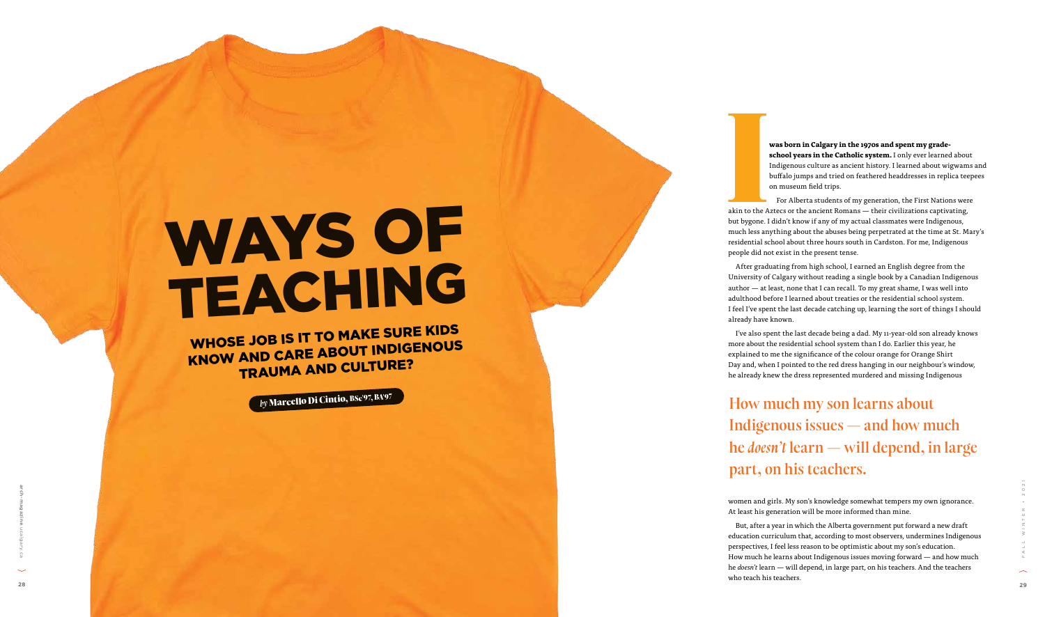# WAYS OF TEACHING

For Alberta students of my generation, the First Nations were akin to the Aztecs or the ancient Romans — their civilizations captivating, but bygone. I didn't know if any of my actual classmates were Indigenous, much less anything about the abuses being perpetrated at the time at St. Mary's residential school about three hours south in Cardston. For me, Indigenous people did not exist in the present tense. akin to the A<br>
but bygone. I<br>
much less an

**was born in Calgary in the 1970s and spent my grade school years in the Catholic system.** I only ever learned about Indigenous culture as ancient history. I learned about wigwams and buffalo jumps and tried on feathered headdresses in replica teepees on museum field trips.

education curriculum that, according to most observers, undermines Indigenous perspectives, I feel less reason to be optimistic about my son's education. How much he learns about Indigenous issues moving forward — and how much he *doesn't* learn — will depend, in large part, on his teachers. And the teachers who teach his teachers. **29**<br> **29** arch-magazine. At least his generation will be more informed than mine.<br> **29** arch-magazine. At least this generation will be more informed than mine.<br> **29** arch-magazine. The arch-magazine control on the condit

After graduating from high school, I earned an English degree from the University of Calgary without reading a single book by a Canadian Indigenous author — at least, none that I can recall. To my great shame, I was well into adulthood before I learned about treaties or the residential school system. I feel I've spent the last decade catching up, learning the sort of things I should already have known.

I've also spent the last decade being a dad. My 11-year-old son already knows more about the residential school system than I do. Earlier this year, he explained to me the significance of the colour orange for Orange Shirt Day and, when I pointed to the red dress hanging in our neighbour's window, he already knew the dress represented murdered and missing Indigenous

women and girls. My son's knowledge somewhat tempers my own ignorance. At least his generation will be more informed than mine. But, after a year in which the Alberta government put forward a new draft

How much my son learns about Indigenous issues — and how much he *doesn't* learn — will depend, in large part, on his teachers.

WHOSE JOB IS IT TO MAKE SURE KIDS KNOW AND CARE ABOUT INDIGENOUS TRAUMA AND CULTURE?

*by*  Marcello Di Cintio, BSc'97, BA'97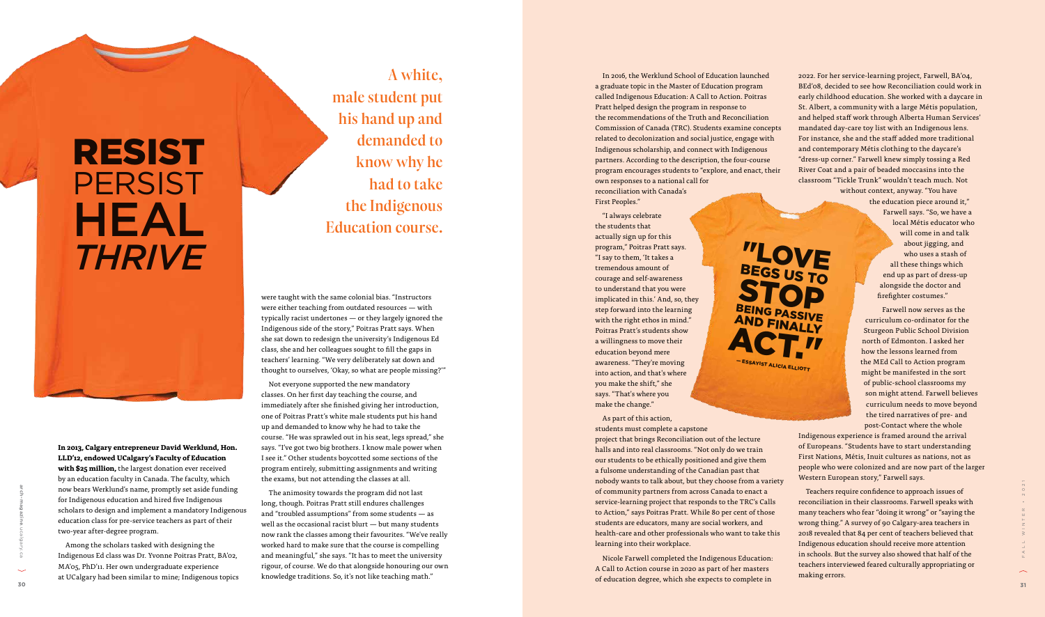In 2016, the Werklund School of Education launched a graduate topic in the Master of Education program called Indigenous Education: A Call to Action. Poitras Pratt helped design the program in response to the recommendations of the Truth and Reconciliation Commission of Canada (TRC). Students examine concepts related to decolonization and social justice, engage with Indigenous scholarship, and connect with Indigenous partners. According to the description, the four-course program encourages students to "explore, and enact, their own responses to a national call for reconciliation with Canada's First Peoples."

**"LOVE**<br>BEGS US TO<br>STOP BEING PASSIVE<br>AND FINALLY

"I always celebrate the students that actually sign up for this program," Poitras Pratt says. "I say to them, 'It takes a tremendous amount of courage and self-awareness to understand that you were implicated in this.' And, so, they step forward into the learning with the right ethos in mind." Poitras Pratt's students show a willingness to move their education beyond mere awareness. "They're moving into action, and that's where you make the shift," she says. "That's where you make the change."

As part of this action, students must complete a capstone project that brings Reconciliation out of the lecture halls and into real classrooms. "Not only do we train our students to be ethically positioned and give them a fulsome understanding of the Canadian past that nobody wants to talk about, but they choose from a variety of community partners from across Canada to enact a service-learning project that responds to the TRC's Calls to Action," says Poitras Pratt. While 80 per cent of those students are educators, many are social workers, and health-care and other professionals who want to take this learning into their workplace.

Nicole Farwell completed the Indigenous Education: A Call to Action course in 2020 as part of her masters of education degree, which she expects to complete in 2022. For her service-learning project, Farwell, BA'04, BEd'08, decided to see how Reconciliation could work in early childhood education. She worked with a daycare in St. Albert, a community with a large Métis population, and helped staff work through Alberta Human Services' mandated day-care toy list with an Indigenous lens. For instance, she and the staff added more traditional and contemporary Métis clothing to the daycare's "dress-up corner." Farwell knew simply tossing a Red River Coat and a pair of beaded moccasins into the classroom "Tickle Trunk" wouldn't teach much. Not

without context, anyway. "You have the education piece around it," Farwell says. "So, we have a local Métis educator who will come in and talk about jigging, and who uses a stash of all these things which end up as part of dress-up alongside the doctor and firefighter costumes." Farwell now serves as the

The animosity towards the program did not last long, though. Poitras Pratt still endures challenges and "troubled assumptions" from some students — as well as the occasional racist blurt — but many students now rank the classes among their favourites. "We've really worked hard to make sure that the course is compelling and meaningful," she says. "It has to meet the university rigour, of course. We do that alongside honouring our own knowledge traditions. So, it's not like teaching math." 30 arch-magazine are properties to a properties that are properties to a properties of community partners from access cancel to entropy out the properties of community partners from access cancel to entropy and the contro

curriculum co-ordinator for the Sturgeon Public School Division north of Edmonton. I asked her how the lessons learned from the MEd Call to Action program might be manifested in the sort of public-school classrooms my son might attend. Farwell believes curriculum needs to move beyond the tired narratives of pre- and post-Contact where the whole

Indigenous experience is framed around the arrival of Europeans. "Students have to start understanding First Nations, Métis, Inuit cultures as nations, not as people who were colonized and are now part of the larger Western European story," Farwell says.

Teachers require confidence to approach issues of reconciliation in their classrooms. Farwell speaks with many teachers who fear "doing it wrong" or "saying the wrong thing." A survey of 90 Calgary-area teachers in 2018 revealed that 84 per cent of teachers believed that Indigenous education should receive more attention in schools. But the survey also showed that half of the teachers interviewed feared culturally appropriating or making errors.

A white, male student put his hand up and demanded to know why he had to take the Indigenous Education course.

**In 2013, Calgary entrepreneur David Werklund, Hon. LLD'12, endowed UCalgary's Faculty of Education with \$25 million,** the largest donation ever received by an education faculty in Canada. The faculty, which now bears Werklund's name, promptly set aside funding for Indigenous education and hired five Indigenous scholars to design and implement a mandatory Indigenous education class for pre-service teachers as part of their two-year after-degree program.

Among the scholars tasked with designing the Indigenous Ed class was Dr. Yvonne Poitras Pratt, BA'02, MA'05, PhD'11. Her own undergraduate experience at UCalgary had been similar to mine; Indigenous topics were taught with the same colonial bias. "Instructors were either teaching from outdated resources — with typically racist undertones — or they largely ignored the Indigenous side of the story," Poitras Pratt says. When she sat down to redesign the university's Indigenous Ed class, she and her colleagues sought to fill the gaps in teachers' learning. "We very deliberately sat down and thought to ourselves, 'Okay, so what are people missing?'"

Not everyone supported the new mandatory classes. On her first day teaching the course, and immediately after she finished giving her introduction, one of Poitras Pratt's white male students put his hand up and demanded to know why he had to take the course. "He was sprawled out in his seat, legs spread," she says. "I've got two big brothers. I know male power when I see it." Other students boycotted some sections of the program entirely, submitting assignments and writing the exams, but not attending the classes at all.

# RESIST PERSIST HEAL *THRIVE*

— ESSAYIST ALICIA ELLIOTT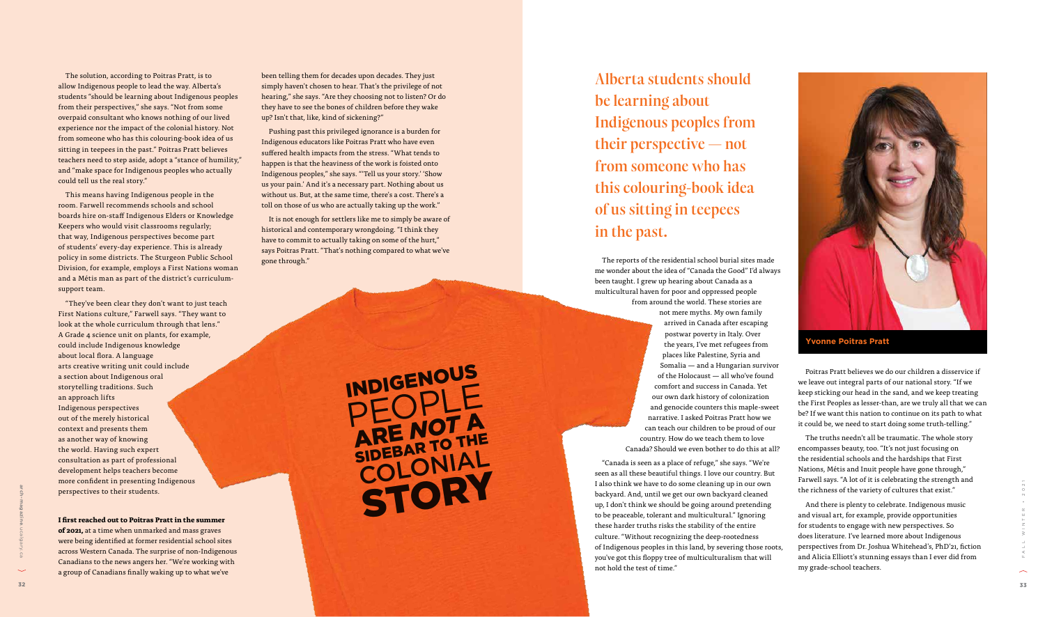The reports of the residential school burial sites made been taught. I grew up hearing about Canada as a multicultural haven for poor and oppressed people

me wonder about the idea of "Canada the Good" I'd always from around the world. These stories are not mere myths. My own family arrived in Canada after escaping postwar poverty in Italy. Over the years, I've met refugees from places like Palestine, Syria and Somalia — and a Hungarian survivor of the Holocaust — all who've found comfort and success in Canada. Yet our own dark history of colonization and genocide counters this maple-sweet narrative. I asked Poitras Pratt how we can teach our children to be proud of our country. How do we teach them to love Canada? Should we even bother to do this at all?

Poitras Pratt believes we do our children a disservice if we leave out integral parts of our national story. "If we keep sticking our head in the sand, and we keep treating the First Peoples as lesser-than, are we truly all that we can be? If we want this nation to continue on its path to what it could be, we need to start doing some truth-telling."

The truths needn't all be traumatic. The whole story encompasses beauty, too. "It's not just focusing on the residential schools and the hardships that First Nations, Métis and Inuit people have gone through," Farwell says. "A lot of it is celebrating the strength and the richness of the variety of cultures that exist."

And there is plenty to celebrate. Indigenous music and visual art, for example, provide opportunities for students to engage with new perspectives. So does literature. I've learned more about Indigenous perspectives from Dr. Joshua Whitehead's, PhD'21, fiction and Alicia Elliott's stunning essays than I ever did from my grade-school teachers.

Alberta students should be learning about Indigenous peoples from their perspective — not from someone who has this colouring-book idea of us sitting in teepees in the past.

### **Yvonne Poitras Pratt**

The solution, according to Poitras Pratt, is to allow Indigenous people to lead the way. Alberta's students "should be learning about Indigenous peoples from their perspectives," she says. "Not from some overpaid consultant who knows nothing of our lived experience nor the impact of the colonial history. Not from someone who has this colouring-book idea of us sitting in teepees in the past." Poitras Pratt believes teachers need to step aside, adopt a "stance of humility," and "make space for Indigenous peoples who actually could tell us the real story." This means having Indigenous people in the

"Canada is seen as a place of refuge," she says. "We're seen as all these beautiful things. I love our country. But I also think we have to do some cleaning up in our own backyard. And, until we get our own backyard cleaned up, I don't think we should be going around pretending to be peaceable, tolerant and multicultural." Ignoring these harder truths risks the stability of the entire culture. "Without recognizing the deep-rootedness of Indigenous peoples in this land, by severing those roots, you've got this floppy tree of multiculturalism that will not hold the test of time." **<sup>32</sup> <sup>33</sup>** arch-magazine.ucalgary.caFALL WINTER • 2021



room. Farwell recommends schools and school boards hire on-staff Indigenous Elders or Knowledge Keepers who would visit classrooms regularly; that way, Indigenous perspectives become part of students' every-day experience. This is already policy in some districts. The Sturgeon Public School Division, for example, employs a First Nations woman and a Métis man as part of the district's curriculumsupport team.

"They've been clear they don't want to just teach First Nations culture," Farwell says. "They want to look at the whole curriculum through that lens." A Grade 4 science unit on plants, for example, could include Indigenous knowledge about local flora. A language arts creative writing unit could include a section about Indigenous oral storytelling traditions. Such an approach lifts Indigenous perspectives out of the merely historical context and presents them as another way of knowing the world. Having such expert consultation as part of professional development helps teachers become more confident in presenting Indigenous perspectives to their students.

**I first reached out to Poitras Pratt in the summer of 2021,** at a time when unmarked and mass graves were being identified at former residential school sites across Western Canada. The surprise of non-Indigenous Canadians to the news angers her. "We're working with a group of Canadians finally waking up to what we've

been telling them for decades upon decades. They just simply haven't chosen to hear. That's the privilege of not hearing," she says. "Are they choosing not to listen? Or do they have to see the bones of children before they wake up? Isn't that, like, kind of sickening?"

Pushing past this privileged ignorance is a burden for Indigenous educators like Poitras Pratt who have even suffered health impacts from the stress. "What tends to happen is that the heaviness of the work is foisted onto Indigenous peoples," she says. "'Tell us your story.' 'Show us your pain.' And it's a necessary part. Nothing about us without us. But, at the same time, there's a cost. There's a toll on those of us who are actually taking up the work."

It is not enough for settlers like me to simply be aware of historical and contemporary wrongdoing. "I think they have to commit to actually taking on some of the hurt," says Poitras Pratt. "That's nothing compared to what we've gone through."

INDIGENOUS<br>
PEOPLE<br>
SIDEBAR TO THE<br>
COLONIAL<br>
STORY